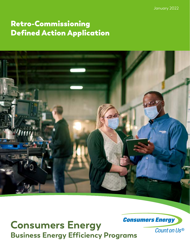January 2022

# Retro-Commissioning Defined Action Application



**Consumers Energy Business Energy Efficiency Programs**

**Consumers Energy** 

Count on Us®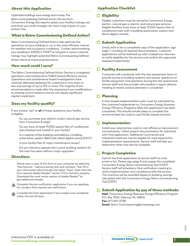# About this Application

Optimized buildings save energy and money. The Retro-Commissioning Defined Action Service from Consumers Energy lets experts assess your facility's energy use and show you small changes can have a big impact on your bottom line.

## What is Retro-Commissioning Defined Action?

Retro-Commissioning Defined Action help optimize the operations of your building to run in the most efficient manner for weather and occupancy conditions. Further, benchmarking your building in ENERGY STAR® to compare it versus national ratings may highlight potential Retro-Commissioning Defined Action items to improve performance.

#### How much could I save?

The Retro-Commissioning Defined Action Service is a targeted operations and maintenance (O&M) based efficiency service. Operations and maintenance based investigations have routinely delivered paybacks for customers in two years or less and savings of up to 15% or more. The majority of the recommendations made after the assessment are modifications to existing control systems and do not require significant capital investment.

## Does my facility qualify?

If you answer "yes" to **all** of these questions, your facility is eligible:

- Do you purchase your electric and/or natural gas service from Consumers Energy?
- Do you have at least 15,000 square feet of conditioned area (heated and cooled) in your facility?
- Is a majority of the building controlled by a building automation system (BAS) with direct digital control (DDC)?
- Is your facility free of major maintenance issues?
- Do you intend to operate the current building systems for the next five years without major upgrades?

#### **Directions**

Please save a copy of this form to your computer by selecting "File>Save As..." before entering text and numbers. Then fill in your information electronically and select "Save". Note that this form requires Adobe Reader® version 11.0 to function properly. Download the most recent version of Adobe Reader® at get.adobe.com/reader.

Complete the pre-notification application if you are applying for a project that requires pre-notification.

Complete the final application if your project was completed within the last 60 days.

# Application Checklist

#### **O** Eligibility

Eligible customers must be served by Consumers Energy electric, natural gas or electric and natural gas services. Eligible facilities must have at least 15,000 square feet of conditioned area with a building automation system and direct digital controls.

## $\Box$  Submit Application

Email, mail or fax a completed copy of the application, sign page 7, including all required documentation. Customer applications will be followed up with a telephone interview to verify eligibility for the service and confirm the approved assessor/implementer.

#### **□ Facility Assessment**

Customers will coordinate with the site assessment team to provide access to building systems and answer questions on facility equipment and operation during the site assessment. Service staff and the provider will schedule a report delivery meeting to review actions planned or completed.

## □ Planning

A time-based implementation plan must be submitted by the customer/implementer to Consumers Energy Business Energy Efficiency Programs after the application has been completed. This should include steps to complete the recommended low cost/no cost facility based action(s).

#### Implementation

Install your selected low cost/no cost efficiency improvement commitments. Collect project documentation for submittal with final application. Additional Commercial and Industrial incentives may be eligible for work beyond the implementation requirements. Service staff will help you determine what may also be available.

## $\Box$  Project Completion

Submit the final application to service staff via mail, email or fax. Please sign page 9 and supply the completed Consumers Energy Retro-commissioning Tool (CERT). Service staff will schedule a final verification meeting to verify implementation and compliance with the service. The incentive will be awarded based on building savings calculated with the Consumers Energy Retro-commissioning Tool (CERT).

#### Submit Application by one of these methods:

**Mail:** Consumers Energy Business Energy Efficiency Program P.O. Box 1040, Okemos, MI, 48805 **Fax:** 877-607-0738 **Email:** Retro-Commissioning@cmsenergy.com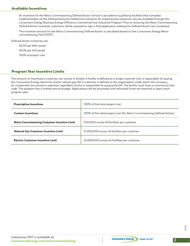## Available Incentives

- An incentive for the Retro-Commissioning Defined Action Service is provided to qualifying facilities that complete implementation of the Defined Action(s). Additional incentives for implemented measures may be available through the Consumers Energy Business Energy Efficiency Commercial and Industrial Program. Prior to receiving the Retro-Commissioning Defined Action incentive, customers will be required to sign a final application stating the Defined Action are completed.
- The incentive amount for the Retro-Commissioning Defined Action is calculated based on the Consumers Energy Retrocommissioning Tool (CERT).

Defined Action incentives are:

- \$0.05 per kWh saved.
- \$6.00 per Mcf saved.
- 100% of project cost.

#### Program Year Incentive Limits

The amount of incentives a customer can receive is limited. A facility is defined as a single customer who is responsible for paying the Consumers Energy electricity and/or natural gas bill. A customer is defined as the organization under which the company (or companies) are owned or operated, regardless of who is responsible for paying the bill. The facility must have a commercial rate code. The program has a limited annual budget. Applications will be processed until allocated funds are reserved or spent each program year.

| <b>Prescriptive Incentives</b>               | 100% of the total project cost                                          |
|----------------------------------------------|-------------------------------------------------------------------------|
| <b>Custom Incentives</b>                     | 100% of the total project cost (for Retro-Commissioning Defined Action) |
| Retro-Commissioning Customer Incentive Limit | \$120,000 across all facilities per customer                            |
| Natural Gas Customer Incentive Limit         | \$1,000,000 across all facilities per customer                          |
| Electric Customer Incentive Limit            | \$2,000,000 across all facilities per customer                          |

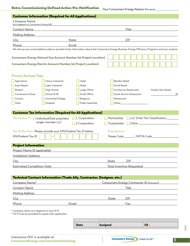|                                                            |                                                                                                                | Date                                                                                                                                                                                                                                 | <b>Assigned</b>    | CE-                                       |                                     |
|------------------------------------------------------------|----------------------------------------------------------------------------------------------------------------|--------------------------------------------------------------------------------------------------------------------------------------------------------------------------------------------------------------------------------------|--------------------|-------------------------------------------|-------------------------------------|
|                                                            | ** W-9 must be provided for payee with application.                                                            | For internal use only                                                                                                                                                                                                                |                    |                                           |                                     |
| * Company name as it appears on your W-9.                  |                                                                                                                |                                                                                                                                                                                                                                      |                    |                                           |                                     |
|                                                            | Phone that the contract of the contract of the contract of the contract of the contract of the contract of the | Email                                                                                                                                                                                                                                |                    | Fax                                       |                                     |
| City                                                       |                                                                                                                |                                                                                                                                                                                                                                      | State              | <b>ZIP</b>                                |                                     |
|                                                            |                                                                                                                | Mailing Address Mailing Address And Address And Address And Address And Address And Address And Address And Address                                                                                                                  |                    |                                           |                                     |
| Contact Name                                               |                                                                                                                |                                                                                                                                                                                                                                      |                    | Title                                     |                                     |
| Company Name*                                              | <u> 1989 - Andrea Andrew Maria (h. 1989).</u>                                                                  |                                                                                                                                                                                                                                      |                    | Consumers Energy Contractor ID (if known) |                                     |
|                                                            |                                                                                                                | Technical Contact Information (Trade Ally, Contractor, Designer, etc.)                                                                                                                                                               |                    |                                           |                                     |
|                                                            |                                                                                                                |                                                                                                                                                                                                                                      |                    |                                           |                                     |
| <b>Estimated Completion Date</b>                           |                                                                                                                |                                                                                                                                                                                                                                      |                    | <b>Total Incentive Requested</b>          |                                     |
| City                                                       |                                                                                                                |                                                                                                                                                                                                                                      | State              | <b>ZIP</b>                                |                                     |
| <b>Installation Address</b>                                |                                                                                                                |                                                                                                                                                                                                                                      |                    |                                           |                                     |
| <b>Project Information</b><br>Project Name (if applicable) |                                                                                                                |                                                                                                                                                                                                                                      |                    |                                           |                                     |
|                                                            |                                                                                                                |                                                                                                                                                                                                                                      |                    |                                           |                                     |
| EIN/Federal Tax ID                                         | Tax ID Number: Please provide your EIN/Federal Tax ID below.                                                   |                                                                                                                                                                                                                                      | <b>Exemptions:</b> | Payee Code__________ FATCA Code ____      |                                     |
|                                                            | single-member LLC                                                                                              | S Corporation                                                                                                                                                                                                                        | Trust/estate       |                                           |                                     |
|                                                            | Tax Status **: □ Individual/Sole proprietor                                                                    | C Corporation                                                                                                                                                                                                                        | Partnership        |                                           | LLC Enter Tax Classification_______ |
|                                                            | <b>Customer Tax Information (Required for All Applications)</b>                                                |                                                                                                                                                                                                                                      |                    |                                           |                                     |
|                                                            |                                                                                                                |                                                                                                                                                                                                                                      |                    |                                           |                                     |
| $\Box$ Data                                                | $\Box$ Hospital                                                                                                | Public Assembly                                                                                                                                                                                                                      | Other              |                                           |                                     |
| Convenience Store<br>□ Grocery                             | School (K-8)<br>University/College                                                                             | Small Office<br>Religious                                                                                                                                                                                                            | Warehouse          | Quick Service Restaurant                  | ft <sup>2</sup>                     |
| Biotech                                                    | High School                                                                                                    | Large Office                                                                                                                                                                                                                         |                    | <b>Full Service Restaurant</b>            | Facility Size (Area)                |
| Auto Repair                                                | Light Industrial                                                                                               | Motel                                                                                                                                                                                                                                |                    | Small Retail                              |                                     |
| Agriculture                                                | Heavy Industrial                                                                                               | Hotel                                                                                                                                                                                                                                |                    | <b>Big Box Retail</b>                     |                                     |
| <b>Primary Business Type</b>                               |                                                                                                                |                                                                                                                                                                                                                                      |                    |                                           |                                     |
|                                                            | <b>Consumers Energy Electric Account Number (at Project Location)</b>                                          |                                                                                                                                                                                                                                      |                    |                                           |                                     |
|                                                            |                                                                                                                | <b>Consumers Energy Natural Gas Account Number (at Project Location)</b>                                                                                                                                                             |                    |                                           |                                     |
| Phone                                                      |                                                                                                                | Email<br>We will use your email address solely to provide timely information about the Consumers Energy Business Energy Efficiency Programs and your projects.                                                                       |                    |                                           |                                     |
| City                                                       |                                                                                                                | <u>State State State State State State State State State State State State State State State State State State State State State State State State State State State State State State State State State State State State State</u> |                    |                                           |                                     |
| <b>Mailing Address</b>                                     |                                                                                                                | <u>and the state of the state of the state of the state of the state of the state of the state of the state of th</u>                                                                                                                |                    | ZIP                                       |                                     |
| Contact Name                                               |                                                                                                                |                                                                                                                                                                                                                                      |                    | Title                                     |                                     |
|                                                            |                                                                                                                | (as it appears on Consumers Energy bill) (and the state of the state of the state of the state of the state of the state of the state of the state of the state of the state of the state of the state of the state of the sta       |                    |                                           |                                     |
| Company Name                                               |                                                                                                                |                                                                                                                                                                                                                                      |                    |                                           |                                     |
|                                                            | <b>Customer Information (Required for All Applications)</b>                                                    |                                                                                                                                                                                                                                      |                    |                                           |                                     |

1/2022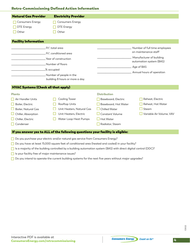## Retro-Commissioning Defined Action Information

| <b>Natural Gas Provider</b>                                                                                                                   | <b>Electricity Provider</b>                                                                                                                                                                |                                                                                                                                               |                                                                                                                                                         |
|-----------------------------------------------------------------------------------------------------------------------------------------------|--------------------------------------------------------------------------------------------------------------------------------------------------------------------------------------------|-----------------------------------------------------------------------------------------------------------------------------------------------|---------------------------------------------------------------------------------------------------------------------------------------------------------|
| <b>Consumers Energy</b><br><b>DTE Energy</b><br>Other                                                                                         | <b>Consumers Energy</b><br><b>DTE Energy</b><br>Other                                                                                                                                      |                                                                                                                                               |                                                                                                                                                         |
| <b>Facility Information</b>                                                                                                                   |                                                                                                                                                                                            |                                                                                                                                               |                                                                                                                                                         |
|                                                                                                                                               | Ft <sup>2</sup> , total area<br>.Ft <sup>2</sup> , conditioned area<br>Year of construction<br>Number of floors<br>% occupied<br>Number of people in the<br>building 8 hours or more a day |                                                                                                                                               | Number of full time employees<br>on maintenance staff<br>Manufacturer of building<br>automation system (BAS)<br>Age of BAS<br>Annual hours of operation |
| <b>HVAC Systems (Check all that apply)</b>                                                                                                    |                                                                                                                                                                                            |                                                                                                                                               |                                                                                                                                                         |
| <b>Plants</b><br>Air Handler Units<br>Boiler, Electric<br><b>Boiler, Natural Gas</b><br>Chiller, Absorption<br>Chiller, Electric<br>Condenser | Cooling Tower<br>Rooftop Units<br>Unit Heaters, Natural Gas<br>Unit Heaters, Electric<br>Water Loop Heat Pumps                                                                             | <b>Distribution</b><br>Baseboard, Electric<br>Baseboard, Hot Water<br><b>Chilled Water</b><br>Constant Volume<br>Hot Water<br>Radiator, Steam | Reheat, Electric<br>Reheat, Hot Water<br>Steam<br>Variable Air Volume, VAV                                                                              |

□ Do you purchase your electric and/or natural gas service from Consumers Energy?

□ Do you have at least 15,000 square feet of conditioned area (heated and cooled) in your facility?

 $\Box$  Is a majority of the building controlled by a building automation system (BAS) with direct digital control (DDC)?

 $\Box$  Is your facility free of major maintenance issues?

□ Do you intend to operate the current building systems for the next five years without major upgrades?

1/2022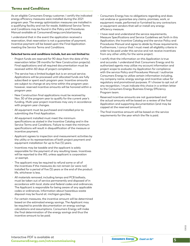## Terms and Conditions

As an eligible Consumers Energy customer, I certify the indicated energy efficiency measures were installed during the 2021 program year. The energy optimization measures are installed in a qualifying facility and not for resale. Additional Service Terms and Conditions may be found in the Policy and Procedures Manual available at ConsumersEnergy.com/startsaving.

I understand that in the event the application received a reservation, that reservation is not a guarantee of payment. Incentive payment will be based upon the Final Application meeting the Service Terms and Conditions.

#### **Selected terms and conditions include, but are not limited to:**

- Project funds are reserved for 90 days from the date of the reservation letter (18 months for New Construction projects). Final applications and all required documentation must be received within 60 days of project completion.
- The service has a limited budget but is an annual service. Applications will be processed until allocated funds are fully subscribed or spent each program year. Incentive amounts are subject to change at any time within the program year; however, reserved incentive amounts will be honored within a program year.
- New Construction final applications must be received by Nov. 30 of the program year to qualify for the current year's funding. Multi-year project incentives may vary in accordance with program year changes.
- All equipment must be purchased and installed prior to submitting the Final Application.
- All equipment installed must meet the minimum specifications as stated in the Incentive Catalog and in the Service Terms and Conditions. Failure to meet the minimum specifications will result in disqualification of the measure or incentive payment.
- Applicant agrees to inspection and measurement activities by the utility or its representatives of both project payment and equipment installation for up to five (5) years.
- Incentives may be taxable and the applicant is solely responsible for the payment of any resulting taxes. Incentives will be reported to the IRS, unless applicant is corporation or exempt.
- The applicant may be required to refund some or all of the incentives if the measures do not remain (or were not) installed for a period of five (5) years or the end of the product life, whichever is less.
- All materials removed, including lamps and PCB ballasts, must be taken out of service permanently and disposed of in accordance with local, state and federal codes and ordinances. The Applicant is responsible for being aware of any applicable codes or ordinances. Information about hazardous waste disposal may be found at: michigan.gov/deq.
- For certain measures, the incentive amount will be determined based on the estimated energy savings. The Applicant may be required to provide documentation on energy savings calculations and assumptions. Consumers Energy will make the final determination of the energy savings and thus the incentive amount to be paid.
- Consumers Energy has no obligations regarding and does not endorse or guarantee any claims, promises, work, or equipment made, performed or furnished by any contractors or equipment vendors that sell or install any energy efficiency measure.
- I have read and understand the service requirements, Measure Specifications and Service Guidelines set forth in this Application, the Incentive Catalog and the service Policy and Procedures Manual and agree to abide by those requirements. Furthermore, I concur that I must meet all eligibility criteria in order to be paid under this service and not receive incentives from any other utility for the same project.
- I certify that the information on this Application is true and accurate. I understand that Consumers Energy and its authorized agents may utilize my account information and project scope to evaluate my Application for compliance with the service Policy and Procedures Manual. I authorize Consumers Energy to utilize certain information including, my company name, energy savings and incentive value for regulatory and promotional purposes. If I choose to opt out of any recognition, I must indicate this choice in a written letter to the Consumers Energy Business Energy Efficiency Program team.
- Reserved incentive amounts are not guaranteed and the actual amounts will be based on a review of the final Application and supporting documentation (and may be capped at the reserved amount).
- The final incentive amount will be based on the service requirements for the year which the file is paid.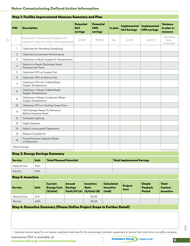## Retro-Commissioning Defined Action Information

| <b>FIM</b>     | <b>Description</b>                                                             | <b>Potential</b><br>Mcf<br>savings | <b>Potential</b><br><b>kWh</b><br>savings | In plan | <b>Implemented</b><br><b>Mcf Savings</b> | <b>Implemented</b><br><b>kWh savings</b> | Variance<br>to plan or<br>measure |
|----------------|--------------------------------------------------------------------------------|------------------------------------|-------------------------------------------|---------|------------------------------------------|------------------------------------------|-----------------------------------|
| $\mathcal{I}$  | Reduce AHU Operating Schedules and<br>Implement Optimum Start where Applicable | 3.000                              | 78,000                                    | Yes     | 2.000                                    | 65,000                                   | Operating<br>hours<br>increased   |
| 1              | Optimize Air Handling Scheduling                                               |                                    |                                           |         |                                          |                                          |                                   |
| 2              | Optimize Economizer Performance                                                |                                    |                                           |         |                                          |                                          |                                   |
| 3              | Optimize or Reset Supply Air Temperature                                       |                                    |                                           |         |                                          |                                          |                                   |
| 4              | Reduce or Reset Discharge Static<br>Pressure Set Point                         |                                    |                                           |         |                                          |                                          |                                   |
| 5              | Optimize VFD on Supply Fan                                                     |                                    |                                           |         |                                          |                                          |                                   |
| 6              | Optimize VFD on Return Fan                                                     |                                    |                                           |         |                                          |                                          |                                   |
| $\overline{7}$ | Optimize VFD On Chilled Water<br>Supply Temperature                            |                                    |                                           |         |                                          |                                          |                                   |
| 8              | Optimize or Reset Chilled Water<br>Supply Temperature                          |                                    |                                           |         |                                          |                                          |                                   |
| 9              | Optimize or Reset Condenser Water<br>Supply Temperature                        |                                    |                                           |         |                                          |                                          |                                   |
| 10             | Optimize VFD on Cooling Tower Fans                                             |                                    |                                           |         |                                          |                                          |                                   |
| 11             | VAV Damper Reset To Minimum<br><b>Before Heating Mode</b>                      |                                    |                                           |         |                                          |                                          |                                   |
| 12             | Schedule Lighting                                                              |                                    |                                           |         |                                          |                                          |                                   |
| 13             | Night Setback                                                                  |                                    |                                           |         |                                          |                                          |                                   |
| 14             | <b>Adjust Unoccupied Operations</b>                                            |                                    |                                           |         |                                          |                                          |                                   |
| 15             | Reduce Outside Air                                                             |                                    |                                           |         |                                          |                                          |                                   |
| 16             | Pump Pressure Setpoint Reset<br>or Reduction                                   |                                    |                                           |         |                                          |                                          |                                   |

#### Step 1: Facility Improvement Measure Summary and Plan

#### Step 2: Energy Savings Summary

| <b>Service</b> | Unit       | <b>Total Planned Potential</b> | Total Implemented Savings |
|----------------|------------|--------------------------------|---------------------------|
| Natural Gas    | Mcf        |                                |                           |
| Electric       | <b>kWh</b> |                                |                           |

## Step 3: Incentive

| <b>Service</b> | <b>Unit</b> | Current<br><b>Energy Cost</b><br>(S/Unit) | Annual<br><b>Savinas</b><br>$\left \left(\mathsf{Unit}/\mathsf{Yr}\right)(\mathsf{A})\right $ (\$/Unit) (B) | <b>Incentive</b><br><b>Rate</b> | <b>Calculated</b><br>Incentive<br>(AxB) | <b>Project</b><br>Cost | <b>Simple</b><br>Payback<br><b>Period</b> | <b>Total</b><br><b>Custom</b><br><b>Incentive</b> |
|----------------|-------------|-------------------------------------------|-------------------------------------------------------------------------------------------------------------|---------------------------------|-----------------------------------------|------------------------|-------------------------------------------|---------------------------------------------------|
| Natural Gas    | Mcf         |                                           |                                                                                                             | \$6.00                          |                                         |                        |                                           |                                                   |
| Electric       | kWh         |                                           |                                                                                                             | \$0.05                          |                                         |                        |                                           |                                                   |

#### Step 4: Executive Summary (Please Define Project Scope in Further Detail)

Customer cannot apply for, nor receive, duplicate incentives for the same project, product, equipment or service from more than one utility company.

1/2022